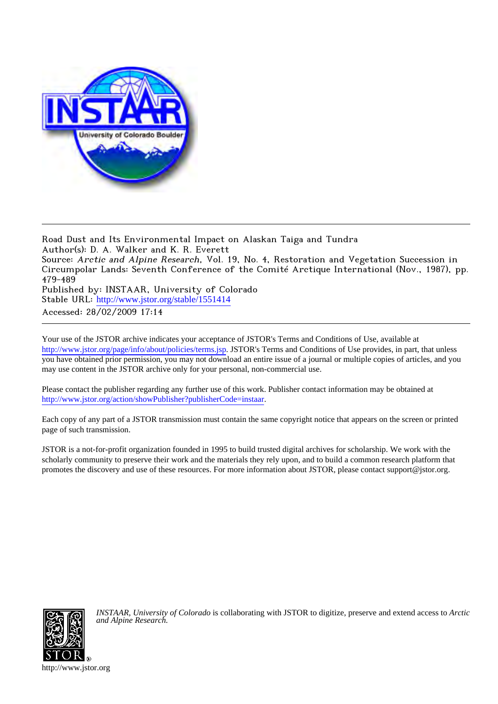

Road Dust and Its Environmental Impact on Alaskan Taiga and Tundra Author(s): D. A. Walker and K. R. Everett Source: Arctic and Alpine Research, Vol. 19, No. 4, Restoration and Vegetation Succession in Circumpolar Lands: Seventh Conference of the Comité Arctique International (Nov., 1987), pp. 479-489 Published by: INSTAAR, University of Colorado Stable URL: [http://www.jstor.org/stable/1551414](http://www.jstor.org/stable/1551414?origin=JSTOR-pdf) Accessed: 28/02/2009 17:14

Your use of the JSTOR archive indicates your acceptance of JSTOR's Terms and Conditions of Use, available at <http://www.jstor.org/page/info/about/policies/terms.jsp>. JSTOR's Terms and Conditions of Use provides, in part, that unless you have obtained prior permission, you may not download an entire issue of a journal or multiple copies of articles, and you may use content in the JSTOR archive only for your personal, non-commercial use.

Please contact the publisher regarding any further use of this work. Publisher contact information may be obtained at [http://www.jstor.org/action/showPublisher?publisherCode=instaar.](http://www.jstor.org/action/showPublisher?publisherCode=instaar)

Each copy of any part of a JSTOR transmission must contain the same copyright notice that appears on the screen or printed page of such transmission.

JSTOR is a not-for-profit organization founded in 1995 to build trusted digital archives for scholarship. We work with the scholarly community to preserve their work and the materials they rely upon, and to build a common research platform that promotes the discovery and use of these resources. For more information about JSTOR, please contact support@jstor.org.



*INSTAAR, University of Colorado* is collaborating with JSTOR to digitize, preserve and extend access to *Arctic and Alpine Research.*

http://www.jstor.org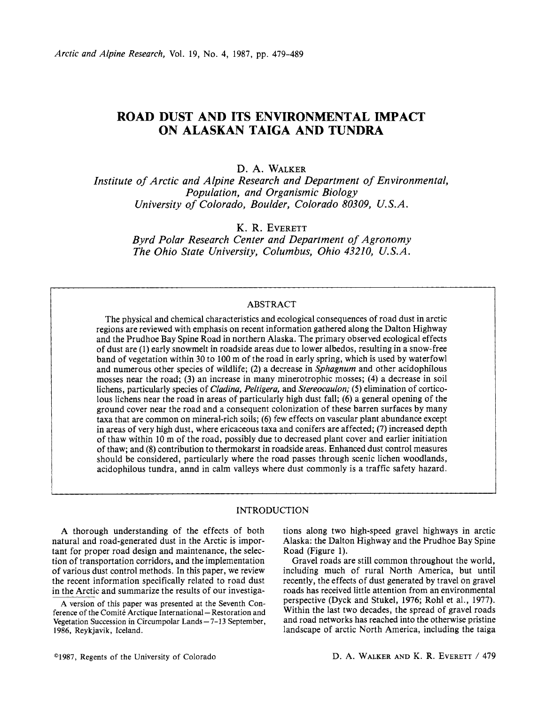# **ROAD DUST AND ITS ENVIRONMENTAL IMPACT ON ALASKAN TAIGA AND TUNDRA**

# **D. A. WALKER**

**Institute of Arctic and Alpine Research and Department of Environmental, Population, and Organismic Biology University of Colorado, Boulder, Colorado 80309, U.S.A.** 

**K. R. EVERETT** 

**Byrd Polar Research Center and Department of Agronomy The Ohio State University, Columbus, Ohio 43210, U.S.A.** 

# **ABSTRACT**

**The physical and chemical characteristics and ecological consequences of road dust in arctic regions are reviewed with emphasis on recent information gathered along the Dalton Highway and the Prudhoe Bay Spine Road in northern Alaska. The primary observed ecological effects of dust are (1) early snowmelt in roadside areas due to lower albedos, resulting in a snow-free band of vegetation within 30 to 100 m of the road in early spring, which is used by waterfowl and numerous other species of wildlife; (2) a decrease in Sphagnum and other acidophilous mosses near the road; (3) an increase in many minerotrophic mosses; (4) a decrease in soil lichens, particularly species of Cladina, Peltigera, and Stereocaulon; (5) elimination of corticolous lichens near the road in areas of particularly high dust fall; (6) a general opening of the ground cover near the road and a consequent colonization of these barren surfaces by many taxa that are common on mineral-rich soils; (6) few effects on vascular plant abundance except in areas of very high dust, where ericaceous taxa and conifers are affected; (7) increased depth of thaw within 10 m of the road, possibly due to decreased plant cover and earlier initiation of thaw; and (8) contribution to thermokarst in roadside areas. Enhanced dust control measures should be considered, particularly where the road passes through scenic lichen woodlands, acidophilous tundra, annd in calm valleys where dust commonly is a traffic safety hazard.** 

# **INTRODUCTION**

**A thorough understanding of the effects of both natural and road-generated dust in the Arctic is important for proper road design and maintenance, the selection of transportation corridors, and the implementation of various dust control methods. In this paper, we review the recent information specifically related to road dust in the Arctic and summarize the results of our investiga-** **tions along two high-speed gravel highways in arctic Alaska: the Dalton Highway and the Prudhoe Bay Spine Road (Figure 1).** 

**Gravel roads are still common throughout the world, including much of rural North America, but until recently, the effects of dust generated by travel on gravel roads has received little attention from an environmental perspective (Dyck and Stukel, 1976; Rohl et al., 1977). Within the last two decades, the spread of gravel roads and road networks has reached into the otherwise pristine landscape of arctic North America, including the taiga** 

**A version of this paper was presented at the Seventh Con**ference of the Comité Arctique International - Restoration and **Vegetation Succession in Circumpolar Lands-7-13 September, 1986, Reykjavik, Iceland.**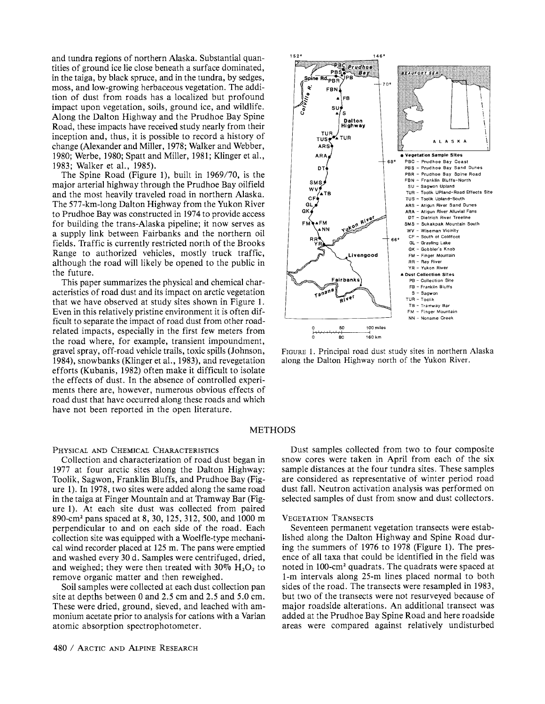**and tundra regions of northern Alaska. Substantial quantities of ground ice lie close beneath a surface dominated, in the taiga, by black spruce, and in the tundra, by sedges, moss, and low-growing herbaceous vegetation. The addition of dust from roads has a localized but profound impact upon vegetation, soils, ground ice, and wildlife. Along the Dalton Highway and the Prudhoe Bay Spine Road, these impacts have received study nearly from their inception and, thus, it is possible to record a history of change (Alexander and Miller, 1978; Walker and Webber, 1980; Werbe, 1980; Spatt and Miller, 1981; Klinger et al., 1983; Walker et al., 1985).** 

**The Spine Road (Figure 1), built in 1969/70, is the major arterial highway through the Prudhoe Bay oilfield and the most heavily traveled road in northern Alaska. The 577-km-long Dalton Highway from the Yukon River to Prudhoe Bay was constructed in 1974 to provide access for building the trans-Alaska pipeline; it now serves as a supply link between Fairbanks and the northern oil fields. Traffic is currently restricted north of the Brooks Range to authorized vehicles, mostly truck traffic, although the road will likely be opened to the public in the future.** 

**This paper summarizes the physical and chemical characteristics of road dust and its impact on arctic vegetation that we have observed at study sites shown in Figure 1. Even in this relatively pristine environment it is often difficult to separate the impact of road dust from other roadrelated impacts, especially in the first few meters from the road where, for example, transient impoundment, gravel spray, off-road vehicle trails, toxic spills (Johnson, 1984), snowbanks (Klinger et al., 1983), and revegetation efforts (Kubanis, 1982) often make it difficult to isolate the effects of dust. In the absence of controlled experiments there are, however, numerous obvious effects of road dust that have occurred along these roads and which have not been reported in the open literature.** 

#### **PHYSICAL AND CHEMICAL CHARACTERISTICS**

**Collection and characterization of road dust began in 1977 at four arctic sites along the Dalton Highway: Toolik, Sagwon, Franklin Bluffs, and Prudhoe Bay (Figure 1). In 1978, two sites were added along the same road in the taiga at Finger Mountain and at Tramway Bar (Figure 1). At each site dust was collected from paired 890-cm2 pans spaced at 8, 30, 125, 312, 500, and 1000 m perpendicular to and on each side of the road. Each collection site was equipped with a Woelfle-type mechanical wind recorder placed at 125 m. The pans were emptied and washed every 30 d. Samples were centrifuged, dried,**  and weighed; they were then treated with  $30\%$   $H_2O_2$  to **remove organic matter and then reweighed.** 

**Soil samples were collected at each dust collection pan site at depths between 0 and 2.5 cm and 2.5 and 5.0 cm. These were dried, ground, sieved, and leached with ammonium acetate prior to analysis for cations with a Varian atomic absorption spectrophotometer.** 



**FIGURE 1. Principal road dust study sites in northern Alaska along the Dalton Highway north of the Yukon River.** 

# **METHODS**

**Dust samples collected from two to four composite snow cores were taken in April from each of the six sample distances at the four tundra sites. These samples are considered as representative of winter period road dust fall. Neutron activation analysis was performed on selected samples of dust from snow and dust collectors.** 

#### **VEGETATION TRANSECTS**

**Seventeen permanent vegetation transects were established along the Dalton Highway and Spine Road during the summers of 1976 to 1978 (Figure 1). The presence of all taxa that could be identified in the field was noted in 100-cm2 quadrats. The quadrats were spaced at 1-m intervals along 25-m lines placed normal to both sides of the road. The transects were resampled in 1983, but two of the transects were not resurveyed because of major roadside alterations. An additional transect was added at the Prudhoe Bay Spine Road and here roadside areas were compared against relatively undisturbed**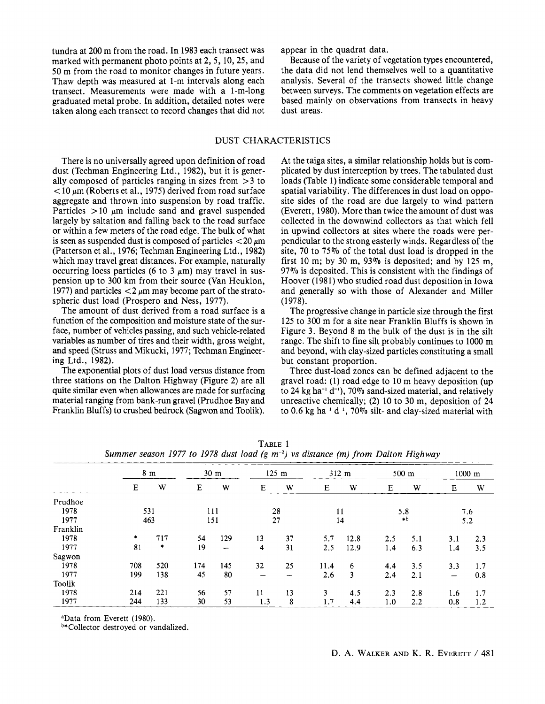tundra at 200 m from the road. In 1983 each transect was appear in the quadrat data.<br>
marked with permanent photo points at 2, 5, 10, 25, and Because of the variety of vegetation types encountered, marked with permanent photo points at 2, 5, 10, 25, and Because of the variety of vegetation types encountered,<br>
50 m from the road to monitor changes in future years. It be data did not lend themselves well to a quantitat transect. Measurements were made with a 1-m-long graduated metal probe. In addition, detailed notes were taken along each transect to record changes that did not

**50 m from the road to monitor changes in future years. the data did not lend themselves well to a quantitative Thaw depth was measured at 1-m intervals along each analysis. Several of the transects showed little change**  based mainly on observations from transects in heavy dust areas.

### **DUST CHARACTERISTICS**

**There is no universally agreed upon definition of road dust (Techman Engineering Ltd., 1982), but it is generally composed of particles ranging in sizes from > 3 to < 10 /m (Roberts et al., 1975) derived from road surface aggregate and thrown into suspension by road traffic.**  Particles  $> 10 \mu m$  include sand and gravel suspended **largely by saltation and falling back to the road surface or within a few meters of the road edge. The bulk of what**  is seen as suspended dust is composed of particles  $\langle 20 \mu m$ **(Patterson et al., 1976; Techman Engineering Ltd., 1982) which may travel great distances. For example, naturally**  occurring loess particles (6 to 3  $\mu$ m) may travel in sus**pension up to 300 km from their source (Van Heuklon,**  1977) and particles  $\langle 2 \mu m \rangle$  may become part of the strato**spheric dust load (Prospero and Ness, 1977).** 

**The amount of dust derived from a road surface is a function of the composition and moisture state of the surface, number of vehicles passing, and such vehicle-related variables as number of tires and their width, gross weight, and speed (Struss and Mikucki, 1977; Techman Engineering Ltd., 1982).** 

**The exponential plots of dust load versus distance from three stations on the Dalton Highway (Figure 2) are all quite similar even when allowances are made for surfacing material ranging from bank-run gravel (Prudhoe Bay and Franklin Bluffs) to crushed bedrock (Sagwon and Toolik).** 

**At the taiga sites, a similar relationship holds but is complicated by dust interception by trees. The tabulated dust loads (Table 1) indicate some considerable temporal and spatial variability. The differences in dust load on opposite sides of the road are due largely to wind pattern (Everett, 1980). More than twice the amount of dust was collected in the downwind collectors as that which fell in upwind collectors at sites where the roads were perpendicular to the strong easterly winds. Regardless of the**  site, 70 to 75% of the total dust load is dropped in the first 10 m; by 30 m, 93% is deposited; and by 125 m. **97%0 is deposited. This is consistent with the findings of Hoover (1981) who studied road dust deposition in Iowa and generally so with those of Alexander and Miller (1978).** 

**The progressive change in particle size through the first 125 to 300 m for a site near Franklin Bluffs is shown in Figure 3. Beyond 8 m the bulk of the dust is in the silt range. The shift to fine silt probably continues to 1000 m and beyond, with clay-sized particles constituting a small but constant proportion.** 

**Three dust-load zones can be defined adjacent to the gravel road: (1) road edge to 10 m heavy deposition (up**  to 24 kg ha<sup>-1</sup> d<sup>-1</sup>), 70% sand-sized material, and relatively **unreactive chemically; (2) 10 to 30 m, deposition of 24 to 0.6 kg ha-1 d-~, 70% silt- and clay-sized material with** 

|          | 8 <sub>m</sub> |        | 30 <sub>m</sub> |                          | $125 \text{ m}$ |    | $312 \text{ m}$ |      | 500 m    |     | $1000$ m                 |     |
|----------|----------------|--------|-----------------|--------------------------|-----------------|----|-----------------|------|----------|-----|--------------------------|-----|
|          | E              | W      | E               | W                        | Е               | W  | Е               | W    | E        | W   | Е                        | W   |
| Prudhoe  |                |        |                 |                          |                 |    |                 |      |          |     |                          |     |
| 1978     | 531            |        | 111             |                          | 28              |    | 11              |      | 5.8      |     | 7.6                      |     |
| 1977     | 463            |        | 151             |                          | 27              |    | 14              |      | $\ast b$ |     | 5.2                      |     |
| Franklin |                |        |                 |                          |                 |    |                 |      |          |     |                          |     |
| 1978     | $\star$        | 717    | 54              | 129                      | 13              | 37 | 5.7             | 12.8 | 2.5      | 5.1 | 3.1                      | 2.3 |
| 1977     | 81             | $\ast$ | 19              | $\overline{\phantom{m}}$ | 4               | 31 | 2.5             | 12.9 | 1.4      | 6.3 | 1.4                      | 3.5 |
| Sagwon   |                |        |                 |                          |                 |    |                 |      |          |     |                          |     |
| 1978     | 708            | 520    | 174             | 145                      | 32              | 25 | 11.4            | 6    | 4.4      | 3.5 | 3.3                      | 1.7 |
| 1977     | 199            | 138    | 45              | 80                       |                 |    | 2.6             | 3    | 2.4      | 2.1 | $\overline{\phantom{m}}$ | 0.8 |
| Toolik   |                |        |                 |                          |                 |    |                 |      |          |     |                          |     |
| 1978     | 214            | 221    | 56              | 57                       | 11              | 13 | 3               | 4.5  | 2.3      | 2.8 | 1.6                      | 1,7 |
| 1977     | 244            | 133    | 30              | 53                       | 1.3             | 8  | 1.7             | 4.4  | 1.0      | 2.2 | 0.8                      | 1.2 |

**TABLE 1 Summer season 1977 to 1978 dust load (g m-2) vs distance (m) from Dalton Highway** 

**aData from Everett (1980).** 

**b\*Collector destroyed or vandalized.**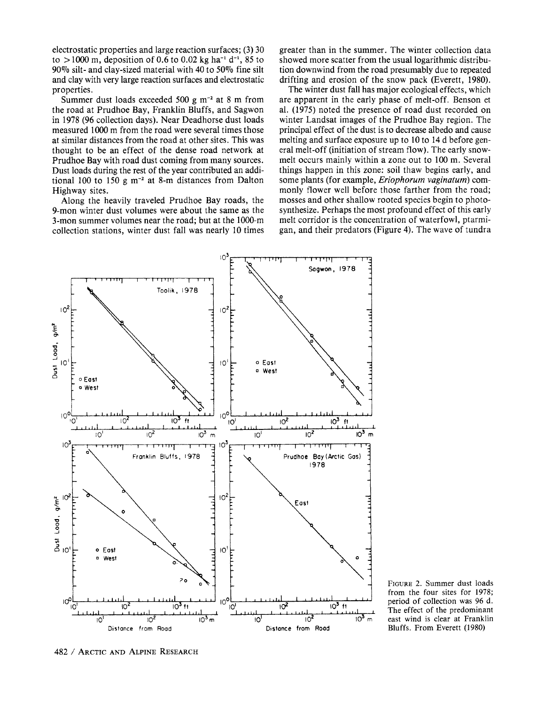**electrostatic properties and large reaction surfaces; (3) 30**   $\tau$  to  $> 1000$  m, deposition of 0.6 to 0.02 kg ha<sup>-1</sup> d<sup>-1</sup>, 85 to **90% silt- and clay-sized material with 40 to 50?%o fine silt and clay with very large reaction surfaces and electrostatic properties.** 

**Summer dust loads exceeded 500 g m-2 at 8 m from the road at Prudhoe Bay, Franklin Bluffs, and Sagwon in 1978 (96 collection days). Near Deadhorse dust loads measured 1000 m from the road were several times those at similar distances from the road at other sites. This was thought to be an effect of the dense road network at Prudhoe Bay with road dust coming from many sources. Dust loads during the rest of the year contributed an additional 100 to 150 g m-2 at 8-m distances from Dalton Highway sites.** 

**Along the heavily traveled Prudhoe Bay roads, the 9-mon winter dust volumes were about the same as the 3-mon summer volumes near the road; but at the 1000-m collection stations, winter dust fall was nearly 10 times**  **greater than in the summer. The winter collection data showed more scatter from the usual logarithmic distribution downwind from the road presumably due to repeated drifting and erosion of the snow pack (Everett, 1980).** 

**The winter dust fall has major ecological effects, which are apparent in the early phase of melt-off. Benson et al. (1975) noted the presence of road dust recorded on winter Landsat images of the Prudhoe Bay region. The principal effect of the dust is to decrease albedo and cause melting and surface exposure up to 10 to 14 d before general melt-off (initiation of stream flow). The early snowmelt occurs mainly within a zone out to 100 m. Several things happen in this zone: soil thaw begins early, and some plants (for example, Eriophorum vaginatum) commonly flower well before those farther from the road; mosses and other shallow rooted species begin to photosynthesize. Perhaps the most profound effect of this early melt corridor is the concentration of waterfowl, ptarmigan, and their predators (Figure 4). The wave of tundra** 



**FIGURE 2.Summer dust loads from the four sites for 1978; period of collection was 96 d. The effect of the predominant east wind is clear at Franklin Bluffs. From Everett (1980)**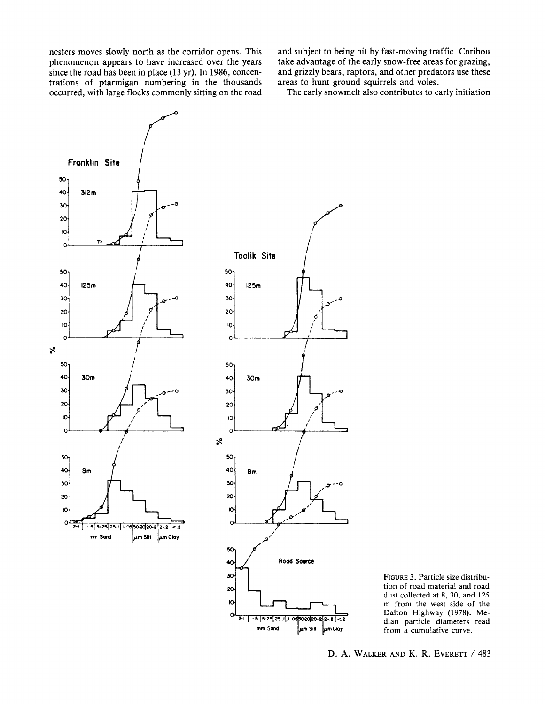**nesters moves slowly north as the corridor opens. This phenomenon appears to have increased over the years since the road has been in place (13 yr). In 1986, concentrations of ptarmigan numbering in the thousands occurred, with large flocks commonly sitting on the road** 

**and subject to being hit by fast-moving traffic. Caribou take advantage of the early snow-free areas for grazing, and grizzly bears, raptors, and other predators use these areas to hunt ground squirrels and voles.** 

**The early snowmelt also contributes to early initiation** 



**FIGURE 3. Particle size distribution of road material and road dust collected at 8, 30, and 125 m from the west side of the Dalton Highway (1978). Median particle diameters read from a cumulative curve.** 

**D. A. WALKER AND K. R. EVERETT / 483**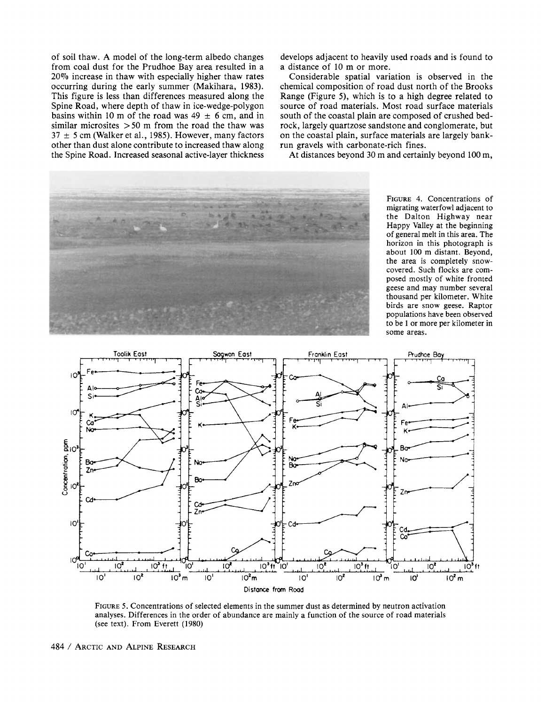**of soil thaw. A model of the long-term albedo changes from coal dust for the Prudhoe Bay area resulted in a 20%7o increase in thaw with especially higher thaw rates occurring during the early summer (Makihara, 1983). This figure is less than differences measured along the Spine Road, where depth of thaw in ice-wedge-polygon**  basins within 10 m of the road was  $49 \pm 6$  cm, and in **similar microsites >50 m from the road the thaw was**   $37 \pm 5$  cm (Walker et al., 1985). However, many factors **other than dust alone contribute to increased thaw along the Spine Road. Increased seasonal active-layer thickness**  **develops adjacent to heavily used roads and is found to a distance of 10 m or more.** 

**Considerable spatial variation is observed in the chemical composition of road dust north of the Brooks Range (Figure 5), which is to a high degree related to source of road materials. Most road surface materials south of the coastal plain are composed of crushed bedrock, largely quartzose sandstone and conglomerate, but on the coastal plain, surface materials are largely bankrun gravels with carbonate-rich fines.** 

**At distances beyond 30 m and certainly beyond 100 m,** 



**FIGURE 4. Concentrations of migrating waterfowl adjacent to the Dalton Highway near Happy Valley at the beginning of general melt in this area. The horizon in this photograph is about 100 m distant. Beyond, the area is completely snowcovered. Such flocks are composed mostly of white fronted geese and may number several thousand per kilometer. White birds are snow geese. Raptor populations have been observed to be 1 or more per kilometer in some areas.** 



**FIGURE 5. Concentrations of selected elements in the summer dust as determined by neutron activation analyses. Differences in the order of abundance are mainly a function of the source of road materials (see text). From Everett (1980)**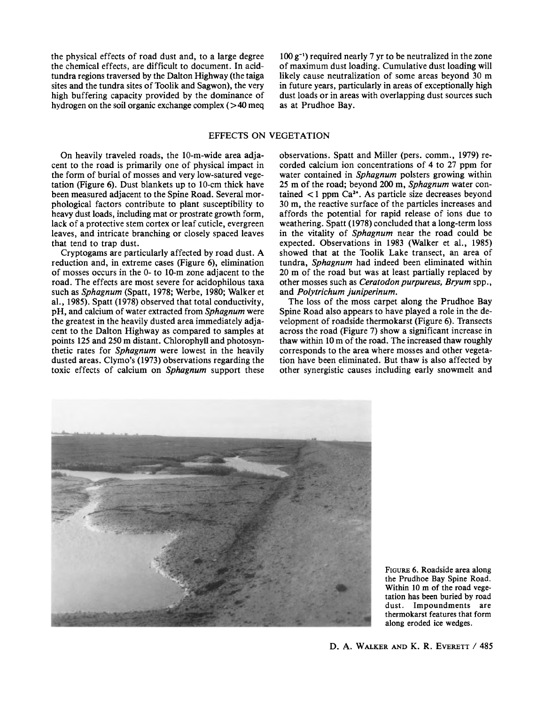**the physical effects of road dust and, to a large degree the chemical effects, are difficult to document. In acidtundra regions traversed by the Dalton Highway (the taiga sites and the tundra sites of Toolik and Sagwon), the very high buffering capacity provided by the dominance of hydrogen on the soil organic exchange complex (> 40 meq** 

**100 g-1) required nearly 7 yr to be neutralized in the zone of maximum dust loading. Cumulative dust loading will likely cause neutralization of some areas beyond 30 m in future years, particularly in areas of exceptionally high dust loads or in areas with overlapping dust sources such as at Prudhoe Bay.** 

# **EFFECTS ON VEGETATION**

**On heavily traveled roads, the 10-m-wide area adjacent to the road is primarily one of physical impact in the form of burial of mosses and very low-satured vegetation (Figure 6). Dust blankets up to 10-cm thick have been measured adjacent to the Spine Road. Several morphological factors contribute to plant susceptibility to heavy dust loads, including mat or prostrate growth form, lack of a protective stem cortex or leaf cuticle, evergreen leaves, and intricate branching or closely spaced leaves that tend to trap dust.** 

**Cryptogams are particularly affected by road dust. A reduction and, in extreme cases (Figure 6), elimination of mosses occurs in the 0- to 10-m zone adjacent to the road. The effects are most severe for acidophilous taxa such as Sphagnum (Spatt, 1978; Werbe, 1980; Walker et al., 1985). Spatt (1978) observed that total conductivity, pH, and calcium of water extracted from Sphagnum were the greatest in the heavily dusted area immediately adjacent to the Dalton Highway as compared to samples at points 125 and 250 m distant. Chlorophyll and photosynthetic rates for Sphagnum were lowest in the heavily dusted areas. Clymo's (1973) observations regarding the toxic effects of calcium on Sphagnum support these**  **observations. Spatt and Miller (pers. comm., 1979) recorded calcium ion concentrations of 4 to 27 ppm for water contained in Sphagnum polsters growing within 25 m of the road; beyond 200 m, Sphagnum water contained < 1 ppm Ca2+. As particle size decreases beyond 30 m, the reactive surface of the particles increases and affords the potential for rapid release of ions due to weathering. Spatt (1978) concluded that a long-term loss in the vitality of Sphagnum near the road could be expected. Observations in 1983 (Walker et al., 1985) showed that at the Toolik Lake transect, an area of tundra, Sphagnum had indeed been eliminated within 20 m of the road but was at least partially replaced by other mosses such as Ceratodon purpureus, Bryum spp., and Polytrichum juniperinum.** 

**The loss of the moss carpet along the Prudhoe Bay Spine Road also appears to have played a role in the development of roadside thermokarst (Figure 6). Transects across the road (Figure 7) show a significant increase in thaw within 10 m of the road. The increased thaw roughly corresponds to the area where mosses and other vegetation have been eliminated. But thaw is also affected by other synergistic causes including early snowmelt and** 



**FIGuRE 6. Roadside area along the Prudhoe Bay Spine Road. Within 10 m of the road vegetation has been buried by road dust. Impoundments are thermokarst features that form along eroded ice wedges.**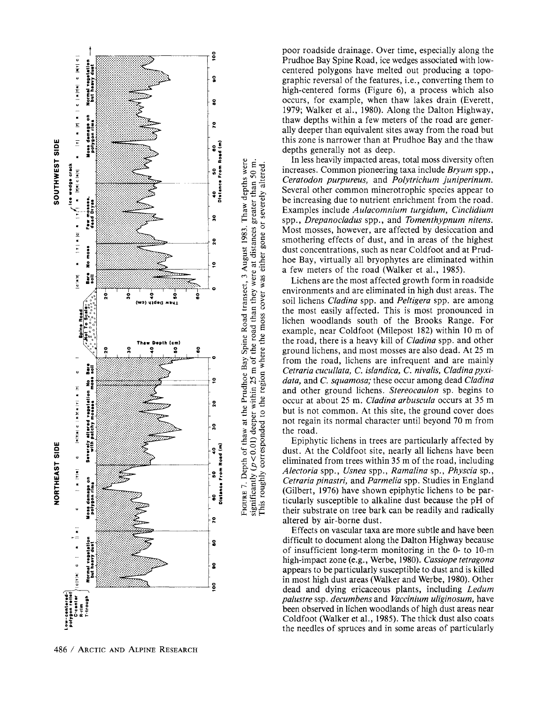

**poor roadside drainage. Over time, especially along the e**<br>**2 3 Prudhoe Bay Spine Road, ice wedges associated with lowcentered polygons have melted out producing a topo-**  <sup>2</sup> eraphic reversal of the features, i.e., converting them to **:** high-centered forms (Figure 6), a process which also **s** occurs, for example, when thaw lakes drain (Everett, **occurs, for example, when thaw lakes drain (Everett, 1979; Walker et al., 1980). Along the Dalton Highway, o** thaw depths within a few meters of the road are gener-**Example 2.**<br> **Example 2.**<br> **Example 2.**<br> **Example 2.**<br> **Example 2.**<br> **Example 2.**<br> **Example 2.**<br> **Example 2.**<br> **Example 2.**<br> **Example 2.**<br> **Example 2.**<br> **Example 2.**<br> **Example 2.**<br> **Example 2.**<br> **Example 2.**<br> **Example 3. this zone is narrower than at Prudhoe Bay and the thaw** 

**a.**<br> **a.**<br> **a.**<br> **a.**<br> **a.**<br> **a.**<br> **a.**<br> **a.**<br> **a.**<br> **a.**<br> **a.**<br> **a.**<br> **a.**<br> **a.**<br> **a.**<br> **a.**<br> **a.**<br> **a.**<br> **a.**<br> **a.**<br> **a.**<br> **a.**<br> **a.**<br> **a.**<br> **a.**<br> **a.**<br> **a.**<br> **a.**<br> **a.**<br> **a.**<br> **a.**<br> **a.**<br> **a.**<br> **a.**<br> **a.**<br> **a.**<br> **a.**<br> **In less heavily impacted areas, total moss diversity often \_\_ ... Ceratodon purpureus, and Polytrichum juniperinum.**  Several other common minerotrophic species appear to **.. a be increasing due to nutrient enrichment from the road.**  Examples include Aulacomnium turgidum, Cinclidium  $\ddot{\mathbf{r}} = \ddot{\mathbf{r}}$   $\ddot{\mathbf{s}}$   $\ddot{\mathbf{s}}$   $\ddot{\mathbf{s}}$   $\mathbf{p}$   $\mathbf{p}$ *. Drepanocladus spp., and Tomenthypnum nitens.* Most mosses, however, are affected by desiccation and **x**  $\tilde{\sigma}$   $\tilde{\sigma}$   $\tilde{\sigma}$  **smothering effects of dust, and in areas of the highest . dust concentrations, such as near Coldfoot and at Prud- ...... .:e ::o2 hoe Bay, virtually all bryophytes are eliminated within**  a few meters of the road (Walker et al., 1985).

**Example 1 Example 1 C** *Correction pioneering taxa include Bryum spp., Ceratodon purpurens, and Polytichum juniperium and the common minerotrophic species appear to be increasing due to nutrient enrichment from the* Lichens are the most affected growth form in roadside  $\frac{1}{3}$   $\frac{1}{3}$   $\frac{1}{3}$   $\frac{1}{3}$   $\frac{1}{2}$   $\frac{1}{2}$  environments and are eliminated in high dust areas. The soil lichens *Cladina* spp. and *Peltigera* spp. are among **~ the most easily affected. This is most pronounced in \* o ? 0 g lichen woodlands south of the Brooks Range. For**  example, near Coldfoot (Milepost 182) within 10 m of the road, there is a heavy kill of *Cladina* spp. and other **2 c c**  $\hat{\sigma}$   $\hat{\sigma}$  **e** *g ground lichens, and most mosses are also dead. At 25 m* **.. .. .... ? - from the road, lichens are infrequent and are mainly me ..ll?,ii^lJ^II^ - m E = Cetraria cucullata, C. islandica, C. nivalis, Cladina pyxi***data, and C. squamosa;* **these occur among dead Cladina C** general general stereocaulon sp. begins to and other ground lichens. Stereocaulon sp. begins to  $\frac{1}{2}$  and  $\frac{1}{2}$  occur at about 25 m. *Cladina arbuscula* occurs at 35 m occur at about 25 m. Cladina arbuscula occurs at 35 m **( not regain its normal character until beyond 70 m from ' the road.** 

**P**<br> **Epiphytic lichens in trees are particularly affected by<br>
<b>Equality** dust. At the Coldfoot site, nearly all lichens have been<br>
eliminated from trees within 35 m of the road, including<br> **Properties are particularly aff dust.** At the Coldfoot site, nearly all lichens have been **eliminated from trees within 35 m of the road, including .. \_...^^E-o <sup>E</sup>J J Alectoria spp., Usnea spp., Ramalina sp., Physcia sp., Cetraria pinastri, and Parmelia spp. Studies in England**<br> **Conflict (Gilbert, 1976)** have shown epiphytic lichens to be particularly susceptible to alkaline dust because the pH of<br> **CO**  $\frac{1}{2}$  is the substrate on tree **<sup>=</sup>(Gilbert, 1976) have shown epiphytic lichens to be par ticularly susceptible to alkaline dust because the pH of E 意旨 their substrate on tree bark can be readily and radically altered by air-borne dust.**  $a$  altered by air-borne dust.

**Effects on vascular taxa are more subtle and have been**  Effects on vascular taxa are more subtle and have been<br>  $\begin{matrix}\n\vdots \\
\vdots \\
\vdots \\
\vdots \\
\vdots \\
\vdots \\
\vdots\n\end{matrix}$ of insufficient long-term monitoring in the 0- to 10-m **high-impact zone (e.g., Werbe, 1980). Cassiope tetragona <br>
annony to be pertinded we weaptible to dust and is killed Es 's: appears to be particularly susceptible to dust and is killed - ^"iii.i..o in most high dust areas (Walker and Werbe, 1980). Other**  dead and dying ericaceous plants, including *Ledum* **C**<sup> $\frac{1}{2}$  **C**  $\frac{1}{2}$  **C**  $\frac{1}{2}$  **C**  $\frac{1}{2}$  **C**  $\frac{1}{2}$  **C**  $\frac{1}{2}$  **C**  $\frac{1}{2}$  **C**  $\frac{1}{2}$  **C**  $\frac{1}{2}$  **C**  $\frac{1}{2}$  **C**  $\frac{1}{2}$  **C**  $\frac{1}{2}$  **C**  $\frac{1}{2}$  **C**  $\frac{1}{2}$  **C**  $\frac{1}{2}$  **C**  $\frac{1}{2}$ **a o \* been observed in lichen woodlands of high dust areas near**  Coldfoot (Walker et al., 1985). The thick dust also coats **- athe needles of spruces and in some areas of particularly**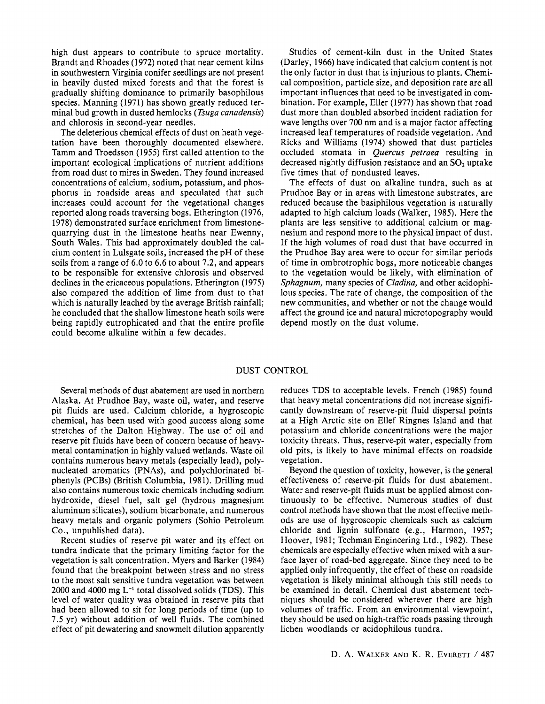**high dust appears to contribute to spruce mortality. Brandt and Rhoades (1972) noted that near cement kilns in southwestern Virginia conifer seedlings are not present in heavily dusted mixed forests and that the forest is gradually shifting dominance to primarily basophilous species. Manning (1971) has shown greatly reduced terminal bud growth in dusted hemlocks (Tsuga canadensis) and chlorosis in second-year needles.** 

**The deleterious chemical effects of dust on heath vegetation have been thoroughly documented elsewhere. Tamm and Troedsson (1955) first called attention to the important ecological implications of nutrient additions from road dust to mires in Sweden. They found increased concentrations of calcium, sodium, potassium, and phosphorus in roadside areas and speculated that such increases could account for the vegetational changes reported along roads traversing bogs. Etherington (1976, 1978) demonstrated surface enrichment from limestonequarrying dust in the limestone heaths near Ewenny, South Wales. This had approximately doubled the calcium content in Lulsgate soils, increased the pH of these soils from a range of 6.0 to 6.6 to about 7.2, and appears to be responsible for extensive chlorosis and observed declines in the ericaceous populations. Etherington (1975) also compared the addition of lime from dust to that which is naturally leached by the average British rainfall; he concluded that the shallow limestone heath soils were being rapidly eutrophicated and that the entire profile could become alkaline within a few decades.** 

**Studies of cement-kiln dust in the United States (Darley, 1966) have indicated that calcium content is not the only factor in dust that is injurious to plants. Chemical composition, particle size, and deposition rate are all important influences that need to be investigated in combination. For example, Eller (1977) has shown that road dust more than doubled absorbed incident radiation for wave lengths over 700 nm and is a major factor affecting increased leaf temperatures of roadside vegetation. And Ricks and Williams (1974) showed that dust particles occluded stomata in Quercus petraea resulting in**  decreased nightly diffusion resistance and an SO<sub>2</sub> uptake **five times that of nondusted leaves.** 

**The effects of dust on alkaline tundra, such as at Prudhoe Bay or in areas with limestone substrates, are reduced because the basiphilous vegetation is naturally adapted to high calcium loads (Walker, 1985). Here the plants are less sensitive to additional calcium or magnesium and respond more to the physical impact of dust. If the high volumes of road dust that have occurred in the Prudhoe Bay area were to occur for similar periods of time in ombrotrophic bogs, more noticeable changes to the vegetation would be likely, with elimination of Sphagnum, many species of Cladina, and other acidophilous species. The rate of change, the composition of the new communities, and whether or not the change would affect the ground ice and natural microtopography would depend mostly on the dust volume.** 

### **DUST CONTROL**

**Several methods of dust abatement are used in northern Alaska. At Prudhoe Bay, waste oil, water, and reserve pit fluids are used. Calcium chloride, a hygroscopic chemical, has been used with good success along some stretches of the Dalton Highway. The use of oil and reserve pit fluids have been of concern because of heavymetal contamination in highly valued wetlands. Waste oil contains numerous heavy metals (especially lead), polynucleated aromatics (PNAs), and polychlorinated biphenyls (PCBs) (British Columbia, 1981). Drilling mud also contains numerous toxic chemicals including sodium hydroxide, diesel fuel, salt gel (hydrous magnesium aluminum silicates), sodium bicarbonate, and numerous heavy metals and organic polymers (Sohio Petroleum Co., unpublished data).** 

**Recent studies of reserve pit water and its effect on tundra indicate that the primary limiting factor for the vegetation is salt concentration. Myers and Barker (1984) found that the breakpoint between stress and no stress to the most salt sensitive tundra vegetation was between 2000 and 4000 mg L-1 total dissolved solids (TDS). This level of water quality was obtained in reserve pits that had been allowed to sit for long periods of time (up to 7.5 yr) without addition of well fluids. The combined effect of pit dewatering and snowmelt dilution apparently**  **reduces TDS to acceptable levels. French (1985) found that heavy metal concentrations did not increase significantly downstream of reserve-pit fluid dispersal points at a High Arctic site on Ellef Ringnes Island and that potassium and chloride concentrations were the major toxicity threats. Thus, reserve-pit water, especially from old pits, is likely to have minimal effects on roadside vegetation.** 

**Beyond the question of toxicity, however, is the general effectiveness of reserve-pit fluids for dust abatement. Water and reserve-pit fluids must be applied almost continuously to be effective. Numerous studies of dust control methods have shown that the most effective methods are use of hygroscopic chemicals such as calcium chloride and lignin sulfonate (e.g., Harmon, 1957; Hoover, 1981; Techman Engineering Ltd., 1982). These chemicals are especially effective when mixed with a surface layer of road-bed aggregate. Since they need to be applied only infrequently, the effect of these on roadside vegetation is likely minimal although this still needs to be examined in detail. Chemical dust abatement techniques should be considered wherever there are high volumes of traffic. From an environmental viewpoint, they should be used on high-traffic roads passing through lichen woodlands or acidophilous tundra.**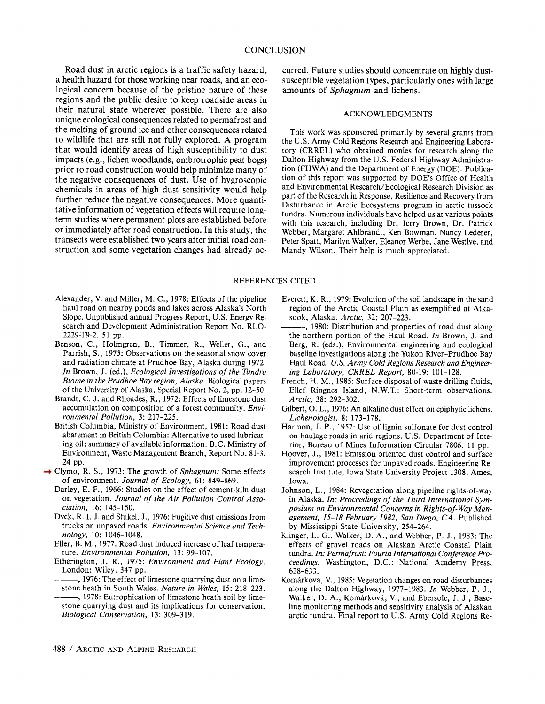**Road dust in arctic regions is a traffic safety hazard, a health hazard for those working near roads, and an ecological concern because of the pristine nature of these regions and the public desire to keep roadside areas in their natural state wherever possible. There are also unique ecological consequences related to permafrost and the melting of ground ice and other consequences related to wildlife that are still not fully explored. A program that would identify areas of high susceptibility to dust impacts (e.g., lichen woodlands, ombrotrophic peat bogs) prior to road construction would help minimize many of the negative consequences of dust. Use of hygroscopic chemicals in areas of high dust sensitivity would help further reduce the negative consequences. More quantitative information of vegetation effects will require longterm studies where permanent plots are established before or immediately after road construction. In this study, the transects were established two years after initial road construction and some vegetation changes had already oc-**

**Alexander, V. and Miller, M. C., 1978: Effects of the pipeline haul road on nearby ponds and lakes across Alaska's North Slope. Unpublished annual Progress Report, U.S. Energy Research and Development Administration Report No. RLO-2229-T9-2. 51 pp.** 

- **Benson, C., Holmgren, B., Timmer, R., Weller, G., and Parrish, S., 1975: Observations on the seasonal snow cover and radiation climate at Prudhoe Bay, Alaska during 1972. In Brown, J. (ed.), Ecological Investigations of the Tundra Biome in the Prudhoe Bay region, Alaska. Biological papers of the University of Alaska, Special Report No. 2, pp. 12-50.**
- **Brandt, C. J. and Rhoades, R., 1972: Effects of limestone dust accumulation on composition of a forest community. Environmental Pollution, 3: 217-225.**
- **British Columbia, Ministry of Environment, 1981: Road dust abatement in British Columbia: Alternative to used lubricating oil; summary of available information. B.C. Ministry of Environment, Waste Management Branch, Report No. 81-3. 24 pp.**
- **Clymo, R. S., 1973: The growth of Sphagnum: Some effects of environment. Journal of Ecology, 61: 849-869.** 
	- **Darley, E. F., 1966: Studies on the effect of cement-kiln dust on vegetation. Journal of the Air Pollution Control Association, 16: 145-150.**
	- **Dyck, R. I. J. and Stukel, J., 1976: Fugitive dust emissions from trucks on unpaved roads. Environmental Science and Technology, 10: 1046-1048.**
	- **Eller, B. M., 1977: Road dust induced increase of leaf temperature. Environmental Pollution, 13: 99-107.**
	- **Etherington, J. R., 1975: Environment and Plant Ecology. London: Wiley. 347 pp.**
	- **, 1976: The effect of limestone quarrying dust on a limestone heath in South Wales. Nature in Wales, 15: 218-223.**
	- **, 1978: Eutrophication of limestone heath soil by limestone quarrying dust and its implications for conservation. Biological Conservation, 13: 309-319.**

**curred. Future studies should concentrate on highly dustsusceptible vegetation types, particularly ones with large amounts of Sphagnum and lichens.** 

### **ACKNOWLEDGMENTS**

**This work was sponsored primarily by several grants from the U.S. Army Cold Regions Research and Engineering Laboratory (CRREL) who obtained monies for research along the Dalton Highway from the U.S. Federal Highway Administration (FHWA) and the Department of Energy (DOE). Publication of this report was supported by DOE's Office of Health and Environmental Research/Ecological Research Division as part of the Research in Response, Resilience and Recovery from Disturbance in Arctic Ecosystems program in arctic tussock tundra. Numerous individuals have helped us at various points with this research, including Dr. Jerry Brown, Dr. Patrick Webber, Margaret Ahlbrandt, Ken Bowman, Nancy Lederer, Peter Spatt, Marilyn Walker, Eleanor Werbe, Jane Westlye, and Mandy Wilson. Their help is much appreciated.** 

### **REFERENCES CITED**

- **Everett, K. R., 1979: Evolution of the soil landscape in the sand region of the Arctic Coastal Plain as exemplified at Atkasook, Alaska. Arctic, 32: 207-223.**
- **, 1980: Distribution and properties of road dust along the northern portion of the Haul Road. In Brown, J. and Berg, R. (eds.), Environmental engineering and ecological baseline investigations along the Yukon River-Prudhoe Bay Haul Road. U.S. Army Cold Regions Research and Engineering Laboratory, CRREL Report, 80-19: 101-128.**
- **French, H. M., 1985: Surface disposal of waste drilling fluids, Ellef Ringnes Island, N.W.T.: Short-term observations. Arctic, 38: 292-302.**
- **Gilbert, 0. L., 1976: An alkaline dust effect on epiphytic lichens. Lichenologist, 8: 173-178.**
- **Harmon, J. P., 1957: Use of lignin sulfonate for dust control on haulage roads in arid regions. U.S. Department of Interior, Bureau of Mines Information Circular 7806. 11 pp.**
- **Hoover, J., 1981: Emission oriented dust control and surface improvement processes for unpaved roads. Engineering Research Institute, Iowa State University Project 1308, Ames, Iowa.**
- **Johnson, L., 1984: Revegetation along pipeline rights-of-way in Alaska. In: Proceedings of the Third International Symposium on Environmental Concerns in Rights-of-Way Management, 15-18 February 1982, San Diego, CA. Published by Mississippi State University, 254-264.**
- **Klinger, L. G., Walker, D. A., and Webber, P. J., 1983: The effects of gravel roads on Alaskan Arctic Coastal Plain tundra. In: Permafrost: Fourth International Conference Proceedings. Washington, D.C.: National Academy Press, 628-633.**
- **Komarkova, V., 1985: Vegetation changes on road disturbances along the Dalton Highway, 1977-1983. In Webber, P. J.,**  Walker, D. A., Komárková, V., and Ebersole, J. J., Base**line monitoring methods and sensitivity analysis of Alaskan arctic tundra. Final report to U.S. Army Cold Regions Re-**